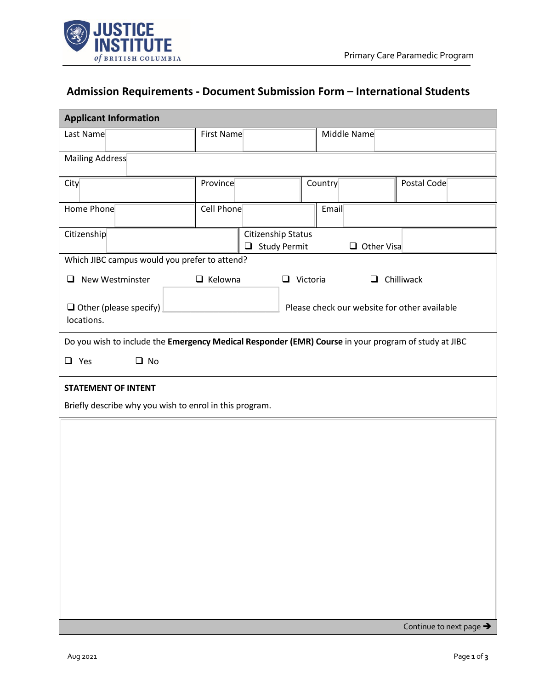

## **Admission Requirements - Document Submission Form – International Students**

| <b>Applicant Information</b>                                                                         |                                           |                                   |  |                   |                   |             |                         |
|------------------------------------------------------------------------------------------------------|-------------------------------------------|-----------------------------------|--|-------------------|-------------------|-------------|-------------------------|
| Last Name                                                                                            | First Name                                |                                   |  |                   |                   | Middle Name |                         |
| Mailing Address                                                                                      |                                           |                                   |  |                   |                   |             |                         |
| City                                                                                                 | Province                                  |                                   |  |                   | Country           |             | Postal Code             |
| Home Phone                                                                                           | Cell Phone                                |                                   |  |                   | Email             |             |                         |
| Citizenship                                                                                          | Citizenship Status<br>$\Box$ Study Permit |                                   |  | $\Box$ Other Visa |                   |             |                         |
| Which JIBC campus would you prefer to attend?                                                        |                                           |                                   |  |                   |                   |             |                         |
| New Westminster<br>□                                                                                 |                                           | $\Box$ Kelowna<br>$\Box$ Victoria |  |                   | $\Box$ Chilliwack |             |                         |
| Please check our website for other available<br>$\Box$ Other (please specify)<br>locations.          |                                           |                                   |  |                   |                   |             |                         |
| Do you wish to include the Emergency Medical Responder (EMR) Course in your program of study at JIBC |                                           |                                   |  |                   |                   |             |                         |
| $\Box$ Yes<br>$\Box$ No                                                                              |                                           |                                   |  |                   |                   |             |                         |
| <b>STATEMENT OF INTENT</b>                                                                           |                                           |                                   |  |                   |                   |             |                         |
| Briefly describe why you wish to enrol in this program.                                              |                                           |                                   |  |                   |                   |             |                         |
|                                                                                                      |                                           |                                   |  |                   |                   |             |                         |
|                                                                                                      |                                           |                                   |  |                   |                   |             |                         |
|                                                                                                      |                                           |                                   |  |                   |                   |             |                         |
|                                                                                                      |                                           |                                   |  |                   |                   |             |                         |
|                                                                                                      |                                           |                                   |  |                   |                   |             |                         |
|                                                                                                      |                                           |                                   |  |                   |                   |             |                         |
|                                                                                                      |                                           |                                   |  |                   |                   |             |                         |
|                                                                                                      |                                           |                                   |  |                   |                   |             |                         |
|                                                                                                      |                                           |                                   |  |                   |                   |             |                         |
|                                                                                                      |                                           |                                   |  |                   |                   |             |                         |
|                                                                                                      |                                           |                                   |  |                   |                   |             | Continue to next page > |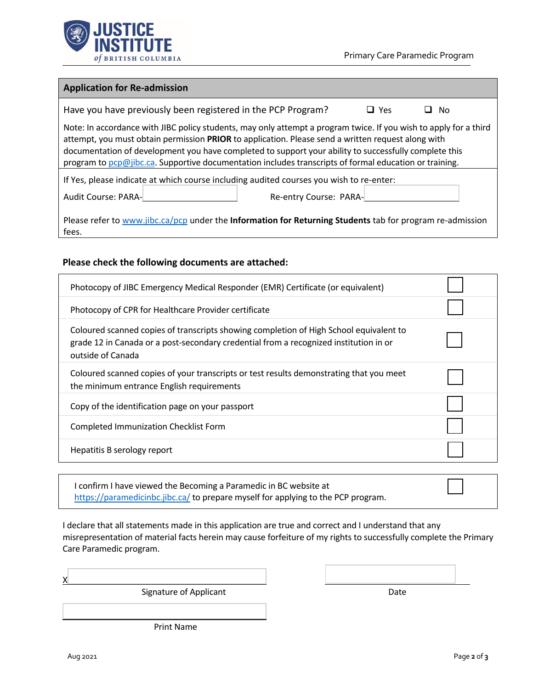

## **Application for Re-admission**

| Have you have previously been registered in the PCP Program?                                                                                                                                                                                                                                                                                                                                                                               |                        | $\square$ Yes | No. |  |  |
|--------------------------------------------------------------------------------------------------------------------------------------------------------------------------------------------------------------------------------------------------------------------------------------------------------------------------------------------------------------------------------------------------------------------------------------------|------------------------|---------------|-----|--|--|
| Note: In accordance with JIBC policy students, may only attempt a program twice. If you wish to apply for a third<br>attempt, you must obtain permission PRIOR to application. Please send a written request along with<br>documentation of development you have completed to support your ability to successfully complete this<br>program to pcp@jibc.ca. Supportive documentation includes transcripts of formal education or training. |                        |               |     |  |  |
| If Yes, please indicate at which course including audited courses you wish to re-enter:                                                                                                                                                                                                                                                                                                                                                    |                        |               |     |  |  |
| Audit Course: PARA-                                                                                                                                                                                                                                                                                                                                                                                                                        | Re-entry Course: PARA- |               |     |  |  |
| Dloges refer to unini ilha sa lasa undar the <b>Information for Deturning Ctudents</b> toh for arogram re-admission                                                                                                                                                                                                                                                                                                                        |                        |               |     |  |  |

Please refer t[o www.jibc.ca/pcp](http://www.jibc.ca/pcp) under the **Information for Returning Students** tab for program re-admission fees.

## **Please check the following documents are attached:**

| Photocopy of JIBC Emergency Medical Responder (EMR) Certificate (or equivalent)                                                                                                                      |  |
|------------------------------------------------------------------------------------------------------------------------------------------------------------------------------------------------------|--|
| Photocopy of CPR for Healthcare Provider certificate                                                                                                                                                 |  |
| Coloured scanned copies of transcripts showing completion of High School equivalent to<br>grade 12 in Canada or a post-secondary credential from a recognized institution in or<br>outside of Canada |  |
| Coloured scanned copies of your transcripts or test results demonstrating that you meet<br>the minimum entrance English requirements                                                                 |  |
| Copy of the identification page on your passport                                                                                                                                                     |  |
| Completed Immunization Checklist Form                                                                                                                                                                |  |
| Hepatitis B serology report                                                                                                                                                                          |  |
|                                                                                                                                                                                                      |  |

I confirm I have viewed the Becoming a Paramedic in BC website at <https://paramedicinbc.jibc.ca/> to prepare myself for applying to the PCP program.

I declare that all statements made in this application are true and correct and I understand that any misrepresentation of material facts herein may cause forfeiture of my rights to successfully complete the Primary Care Paramedic program.

| X                             |      |
|-------------------------------|------|
| <b>Signature of Applicant</b> | Date |

Print Name